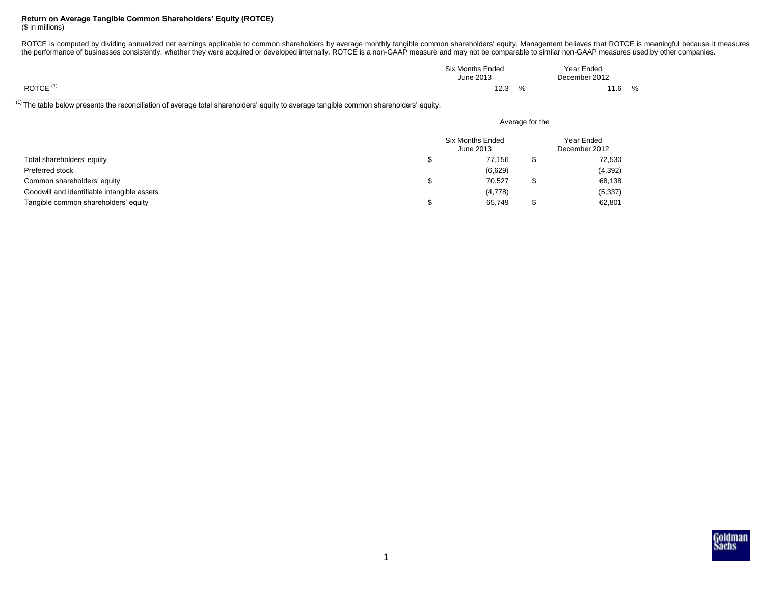## **Return on Average Tangible Common Shareholders' Equity (ROTCE)**

(\$ in millions)

ROTCE is computed by dividing annualized net earnings applicable to common shareholders by average monthly tangible common shareholders' equity. Management believes that ROTCE is meaningful because it measures the performance of businesses consistently, whether they were acquired or developed internally. ROTCE is a non-GAAP measure and may not be comparable to similar non-GAAP measures used by other companies.

| <b>Six Months Ended</b><br>June 2013 |   | Year Ended<br>December 2012 |   |
|--------------------------------------|---|-----------------------------|---|
| 12.3                                 | % | 11.6                        | % |

(1) The table below presents the reconciliation of average total shareholders' equity to average tangible common shareholders' equity.

|                                             |    | Average for the                      |  |          |  |  |  |
|---------------------------------------------|----|--------------------------------------|--|----------|--|--|--|
|                                             |    | <b>Six Months Ended</b><br>June 2013 |  |          |  |  |  |
| Total shareholders' equity                  | чE | 77,156                               |  | 72,530   |  |  |  |
| Preferred stock                             |    | (6,629)                              |  | (4, 392) |  |  |  |
| Common shareholders' equity                 | ъ  | 70.527                               |  | 68,138   |  |  |  |
| Goodwill and identifiable intangible assets |    | (4, 778)                             |  | (5, 337) |  |  |  |
| Tangible common shareholders' equity        |    | 65,749                               |  | 62,801   |  |  |  |

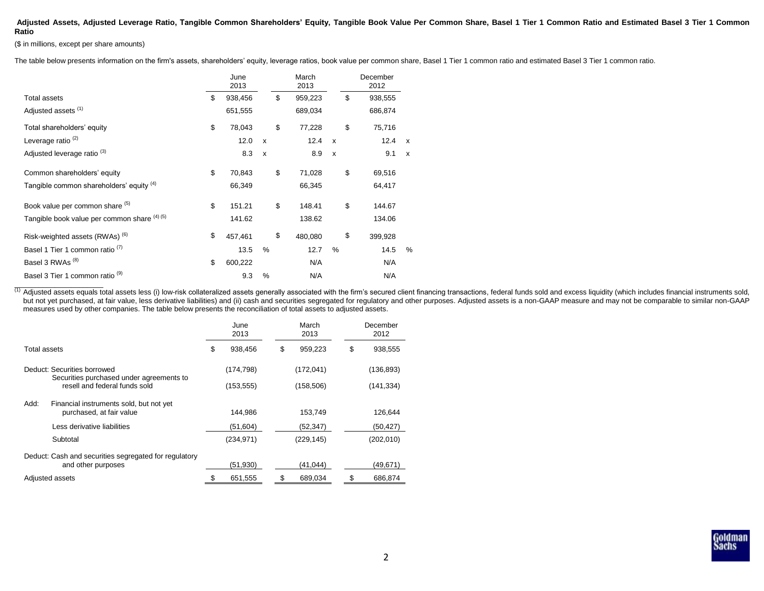## **Adjusted Assets, Adjusted Leverage Ratio, Tangible Common Shareholders' Equity, Tangible Book Value Per Common Share, Basel 1 Tier 1 Common Ratio and Estimated Basel 3 Tier 1 Common Ratio**

(\$ in millions, except per share amounts)

The table below presents information on the firm's assets, shareholders' equity, leverage ratios, book value per common share, Basel 1 Tier 1 common ratio and estimated Basel 3 Tier 1 common ratio.

|                                              |    | June<br>2013 |                           | March<br>2013 |                           | December<br>2012 |              |
|----------------------------------------------|----|--------------|---------------------------|---------------|---------------------------|------------------|--------------|
| <b>Total assets</b>                          | \$ | 938,456      |                           | \$<br>959,223 |                           | \$<br>938,555    |              |
| Adjusted assets <sup>(1)</sup>               |    | 651,555      |                           | 689,034       |                           | 686,874          |              |
| Total shareholders' equity                   | \$ | 78,043       |                           | \$<br>77,228  |                           | \$<br>75,716     |              |
| Leverage ratio $(2)$                         |    | 12.0         | $\boldsymbol{\mathsf{x}}$ | 12.4          | $\boldsymbol{\mathsf{x}}$ | 12.4             | $\mathsf{x}$ |
| Adjusted leverage ratio <sup>(3)</sup>       |    | 8.3          | $\mathsf{x}$              | 8.9           | $\boldsymbol{\mathsf{x}}$ | 9.1              | $\mathsf{x}$ |
| Common shareholders' equity                  | \$ | 70,843       |                           | \$<br>71,028  |                           | \$<br>69,516     |              |
| Tangible common shareholders' equity (4)     |    | 66,349       |                           | 66,345        |                           | 64,417           |              |
| Book value per common share (5)              | \$ | 151.21       |                           | \$<br>148.41  |                           | \$<br>144.67     |              |
| Tangible book value per common share (4) (5) |    | 141.62       |                           | 138.62        |                           | 134.06           |              |
| Risk-weighted assets (RWAs) <sup>(6)</sup>   | \$ | 457.461      |                           | \$<br>480,080 |                           | \$<br>399,928    |              |
| Basel 1 Tier 1 common ratio <sup>(1)</sup>   |    | 13.5         | %                         | 12.7          | %                         | 14.5             | %            |
| Basel 3 RWAs <sup>(8)</sup>                  | \$ | 600,222      |                           | N/A           |                           | N/A              |              |
| Basel 3 Tier 1 common ratio <sup>(9)</sup>   |    | 9.3          | %                         | N/A           |                           | N/A              |              |

(1) Adjusted assets equals total assets less (i) low-risk collateralized assets generally associated with the firm's secured client financing transactions, federal funds sold and excess liquidity (which includes financial but not yet purchased, at fair value, less derivative liabilities) and (ii) cash and securities segregated for regulatory and other purposes. Adjusted assets is a non-GAAP measure and may not be comparable to similar non-G measures used by other companies. The table below presents the reconciliation of total assets to adjusted assets.

|                                                                             | June<br>2013 |            | March<br>2013 |            | December<br>2012 |
|-----------------------------------------------------------------------------|--------------|------------|---------------|------------|------------------|
| Total assets                                                                | \$           | 938.456    | \$            | 959.223    | \$<br>938.555    |
| Deduct: Securities borrowed                                                 |              | (174, 798) |               | (172, 041) | (136, 893)       |
| Securities purchased under agreements to<br>resell and federal funds sold   |              | (153, 555) |               | (158, 506) | (141, 334)       |
| Add:<br>Financial instruments sold, but not yet<br>purchased, at fair value |              | 144.986    |               | 153.749    | 126.644          |
| Less derivative liabilities                                                 |              | (51,604)   |               | (52, 347)  | (50,427)         |
| Subtotal                                                                    |              | (234, 971) |               | (229, 145) | (202, 010)       |
| Deduct: Cash and securities segregated for regulatory<br>and other purposes |              | (51,930)   |               | (41, 044)  | (49,671)         |
| Adjusted assets                                                             |              | 651,555    | S             | 689,034    | \$<br>686,874    |

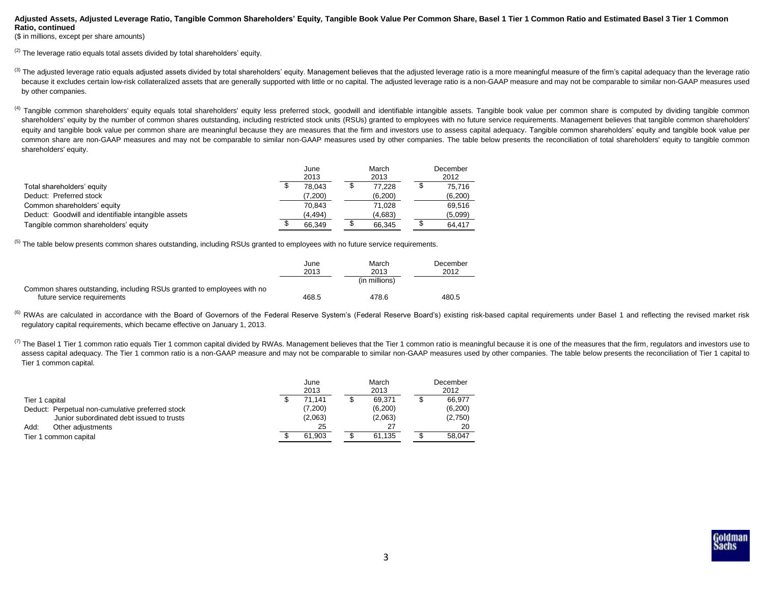## **Adjusted Assets, Adjusted Leverage Ratio, Tangible Common Shareholders' Equity, Tangible Book Value Per Common Share, Basel 1 Tier 1 Common Ratio and Estimated Basel 3 Tier 1 Common Ratio, continued**

(\$ in millions, except per share amounts)

 $(2)$  The leverage ratio equals total assets divided by total shareholders' equity.

- (3) The adjusted leverage ratio equals adjusted assets divided by total shareholders' equity. Management believes that the adjusted leverage ratio is a more meaningful measure of the firm's capital adequacy than the levera because it excludes certain low-risk collateralized assets that are generally supported with little or no capital. The adjusted leverage ratio is a non-GAAP measure and may not be comparable to similar non-GAAP measures us by other companies.
- <sup>(4)</sup> Tangible common shareholders' equity equals total shareholders' equity less preferred stock, goodwill and identifiable intangible assets. Tangible book value per common share is computed by dividing tangible common shareholders' equity by the number of common shares outstanding, including restricted stock units (RSUs) granted to employees with no future service requirements. Management believes that tangible common shareholders' equity and tangible book value per common share are meaningful because they are measures that the firm and investors use to assess capital adequacy. Tangible common shareholders' equity and tangible book value per common share are non-GAAP measures and may not be comparable to similar non-GAAP measures used by other companies. The table below presents the reconciliation of total shareholders' equity to tangible common shareholders' equity.

|                                                     | June<br>2013 | March<br>2013 |   | December<br>2012 |
|-----------------------------------------------------|--------------|---------------|---|------------------|
| Total shareholders' equity                          | 78.043       | 77.228        | ◡ | 75.716           |
| Deduct: Preferred stock                             | (7,200)      | (6,200)       |   | (6,200)          |
| Common shareholders' equity                         | 70.843       | 71.028        |   | 69,516           |
| Deduct: Goodwill and identifiable intangible assets | (4, 494)     | (4,683)       |   | (5,099)          |
| Tangible common shareholders' equity                | 66.349       | 66,345        |   | 64.417           |

<sup>(5)</sup> The table below presents common shares outstanding, including RSUs granted to employees with no future service requirements.

|                                                                        | June<br>2013 | March<br>2013 | December<br>2012 |
|------------------------------------------------------------------------|--------------|---------------|------------------|
|                                                                        |              | (in millions) |                  |
| Common shares outstanding, including RSUs granted to employees with no |              |               |                  |
| future service requirements                                            | 468.5        | 478.6         | 480.5            |

<sup>(6)</sup> RWAs are calculated in accordance with the Board of Governors of the Federal Reserve System's (Federal Reserve Board's) existing risk-based capital requirements under Basel 1 and reflecting the revised market risk regulatory capital requirements, which became effective on January 1, 2013.

(7) The Basel 1 Tier 1 common ratio equals Tier 1 common capital divided by RWAs. Management believes that the Tier 1 common ratio is meaningful because it is one of the measures that the firm, regulators and investors use assess capital adequacy. The Tier 1 common ratio is a non-GAAP measure and may not be comparable to similar non-GAAP measures used by other companies. The table below presents the reconciliation of Tier 1 capital to Tier 1 common capital.

|                                                  | June<br>2013 | March<br>2013 | December<br>2012 |
|--------------------------------------------------|--------------|---------------|------------------|
| Tier 1 capital                                   | 71.141       | 69.371        | 66.977           |
| Deduct: Perpetual non-cumulative preferred stock | (7,200)      | (6, 200)      | (6,200)          |
| Junior subordinated debt issued to trusts        | (2,063)      | (2,063)       | (2,750)          |
| Add:<br>Other adjustments                        | 25           |               | 20               |
| Tier 1 common capital                            | 61.903       | 61.135        | 58.047           |